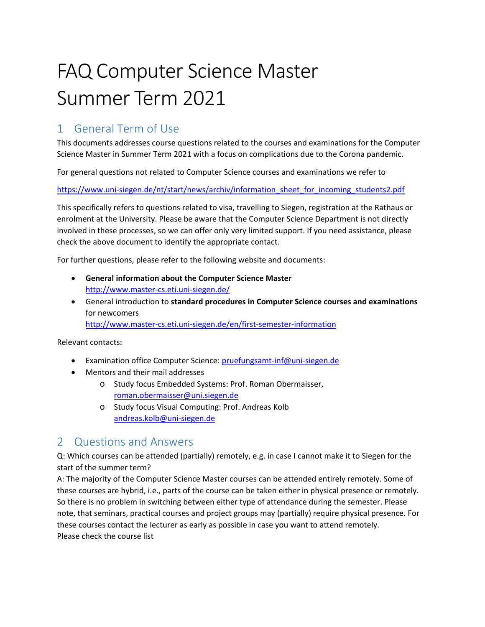# FAQ Computer Science Master Summer Term 2021

## 1 General Term of Use

This documents addresses course questions related to the courses and examinations for the Computer Science Master in Summer Term 2021 with a focus on complications due to the Corona pandemic.

For general questions not related to Computer Science courses and examinations we refer to

[https://www.uni-siegen.de/nt/start/news/archiv/information\\_sheet\\_for\\_incoming\\_students2.pdf](https://www.uni-siegen.de/nt/start/news/archiv/information_sheet_for_incoming_students2.pdf)

This specifically refers to questions related to visa, travelling to Siegen, registration at the Rathaus or enrolment at the University. Please be aware that the Computer Science Department is not directly involved in these processes, so we can offer only very limited support. If you need assistance, please check the above document to identify the appropriate contact.

For further questions, please refer to the following website and documents:

- **General information about the Computer Science Master** <http://www.master-cs.eti.uni-siegen.de/>
- General introduction to **standard procedures in Computer Science courses and examinations**  for newcomers <http://www.master-cs.eti.uni-siegen.de/en/first-semester-information>

Relevant contacts:

- Examination office Computer Science: [pruefungsamt-inf@uni-siegen.de](mailto:pruefungsamt-inf@uni-siegen.de)
- Mentors and their mail addresses
	- o Study focus Embedded Systems: Prof. Roman Obermaisser, [roman.obermaisser@uni.siegen.de](mailto:roman.obermaisser@uni.siegen.de)
	- o Study focus Visual Computing: Prof. Andreas Kolb [andreas.kolb@uni-siegen.de](mailto:andreas.kolb@uni-siegen.de)

## 2 Questions and Answers

Q: Which courses can be attended (partially) remotely, e.g. in case I cannot make it to Siegen for the start of the summer term?

A: The majority of the Computer Science Master courses can be attended entirely remotely. Some of these courses are hybrid, i.e., parts of the course can be taken either in physical presence or remotely. So there is no problem in switching between either type of attendance during the semester. Please note, that seminars, practical courses and project groups may (partially) require physical presence. For these courses contact the lecturer as early as possible in case you want to attend remotely. Please check the course list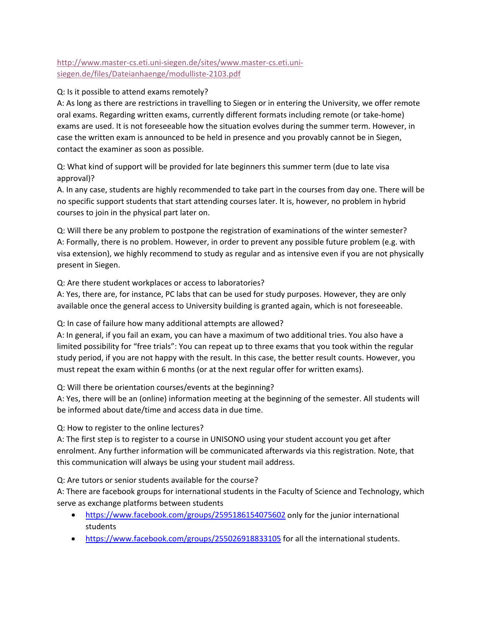### [http://www.master-cs.eti.uni-siegen.de/sites/www.master-cs.eti.uni](http://www.master-cs.eti.uni-siegen.de/sites/www.master-cs.eti.uni-siegen.de/files/Dateianhaenge/modulliste-2103.pdf)[siegen.de/files/Dateianhaenge/modulliste-2103.pdf](http://www.master-cs.eti.uni-siegen.de/sites/www.master-cs.eti.uni-siegen.de/files/Dateianhaenge/modulliste-2103.pdf)

#### Q: Is it possible to attend exams remotely?

A: As long as there are restrictions in travelling to Siegen or in entering the University, we offer remote oral exams. Regarding written exams, currently different formats including remote (or take-home) exams are used. It is not foreseeable how the situation evolves during the summer term. However, in case the written exam is announced to be held in presence and you provably cannot be in Siegen, contact the examiner as soon as possible.

Q: What kind of support will be provided for late beginners this summer term (due to late visa approval)?

A. In any case, students are highly recommended to take part in the courses from day one. There will be no specific support students that start attending courses later. It is, however, no problem in hybrid courses to join in the physical part later on.

Q: Will there be any problem to postpone the registration of examinations of the winter semester? A: Formally, there is no problem. However, in order to prevent any possible future problem (e.g. with visa extension), we highly recommend to study as regular and as intensive even if you are not physically present in Siegen.

Q: Are there student workplaces or access to laboratories?

A: Yes, there are, for instance, PC labs that can be used for study purposes. However, they are only available once the general access to University building is granted again, which is not foreseeable.

Q: In case of failure how many additional attempts are allowed?

A: In general, if you fail an exam, you can have a maximum of two additional tries. You also have a limited possibility for "free trials": You can repeat up to three exams that you took within the regular study period, if you are not happy with the result. In this case, the better result counts. However, you must repeat the exam within 6 months (or at the next regular offer for written exams).

Q: Will there be orientation courses/events at the beginning?

A: Yes, there will be an (online) information meeting at the beginning of the semester. All students will be informed about date/time and access data in due time.

Q: How to register to the online lectures?

A: The first step is to register to a course in UNISONO using your student account you get after enrolment. Any further information will be communicated afterwards via this registration. Note, that this communication will always be using your student mail address.

Q: Are tutors or senior students available for the course?

A: There are facebook groups for international students in the Faculty of Science and Technology, which serve as exchange platforms between students

- <https://www.facebook.com/groups/2595186154075602> only for the junior international students
- <https://www.facebook.com/groups/255026918833105> for all the international students.